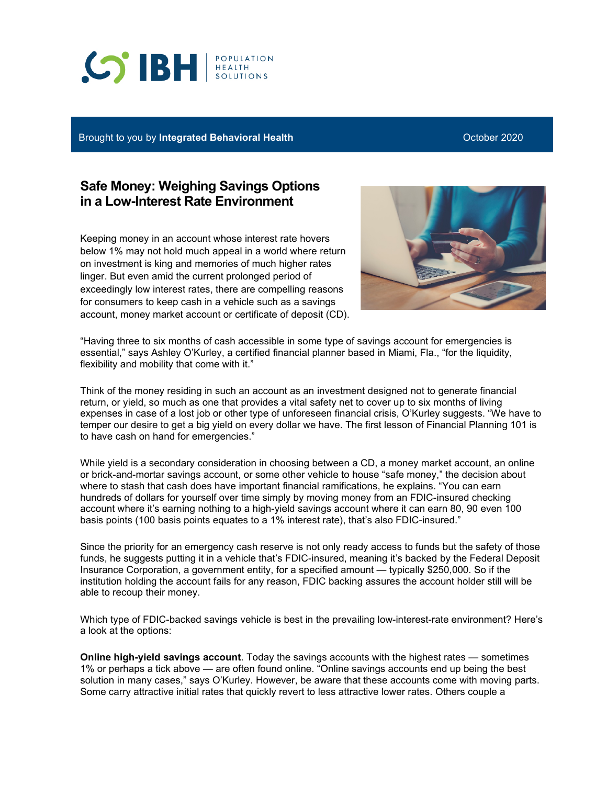## **CO'IBH REALTH**

Brought to you by **Integrated Behavioral Health Communist Construction Construction Construction** October 2020

## **Safe Money: Weighing Savings Options in a Low-Interest Rate Environment**

Keeping money in an account whose interest rate hovers below 1% may not hold much appeal in a world where return on investment is king and memories of much higher rates linger. But even amid the current prolonged period of exceedingly low interest rates, there are compelling reasons for consumers to keep cash in a vehicle such as a savings account, money market account or certificate of deposit (CD).



"Having three to six months of cash accessible in some type of savings account for emergencies is essential," says Ashley O'Kurley, a certified financial planner based in Miami, Fla., "for the liquidity, flexibility and mobility that come with it."

Think of the money residing in such an account as an investment designed not to generate financial return, or yield, so much as one that provides a vital safety net to cover up to six months of living expenses in case of a lost job or other type of unforeseen financial crisis, O'Kurley suggests. "We have to temper our desire to get a big yield on every dollar we have. The first lesson of Financial Planning 101 is to have cash on hand for emergencies."

While yield is a secondary consideration in choosing between a CD, a money market account, an online or brick-and-mortar savings account, or some other vehicle to house "safe money," the decision about where to stash that cash does have important financial ramifications, he explains. "You can earn hundreds of dollars for yourself over time simply by moving money from an FDIC-insured checking account where it's earning nothing to a high-yield savings account where it can earn 80, 90 even 100 basis points (100 basis points equates to a 1% interest rate), that's also FDIC-insured."

Since the priority for an emergency cash reserve is not only ready access to funds but the safety of those funds, he suggests putting it in a vehicle that's FDIC-insured, meaning it's backed by the Federal Deposit Insurance Corporation, a government entity, for a specified amount — typically \$250,000. So if the institution holding the account fails for any reason, FDIC backing assures the account holder still will be able to recoup their money.

Which type of FDIC-backed savings vehicle is best in the prevailing low-interest-rate environment? Here's a look at the options:

**Online high-yield savings account**. Today the savings accounts with the highest rates — sometimes 1% or perhaps a tick above — are often found online. "Online savings accounts end up being the best solution in many cases," says O'Kurley. However, be aware that these accounts come with moving parts. Some carry attractive initial rates that quickly revert to less attractive lower rates. Others couple a